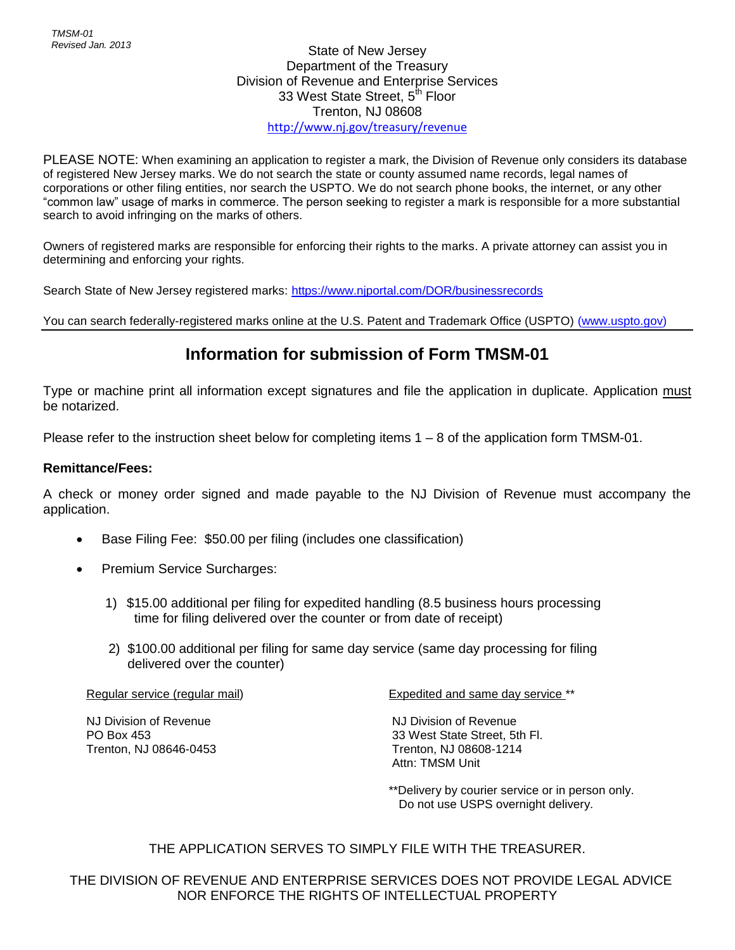### State of New Jersey Department of the Treasury Division of Revenue and Enterprise Services 33 West State Street, 5<sup>th</sup> Floor Trenton, NJ 08608 <http://www.nj.gov/treasury/revenue>

PLEASE NOTE: When examining an application to register a mark, the Division of Revenue only considers its database of registered New Jersey marks. We do not search the state or county assumed name records, legal names of corporations or other filing entities, nor search the USPTO. We do not search phone books, the internet, or any other "common law" usage of marks in commerce. The person seeking to register a mark is responsible for a more substantial search to avoid infringing on the marks of others.

Owners of registered marks are responsible for enforcing their rights to the marks. A private attorney can assist you in determining and enforcing your rights.

Search State of New Jersey registered marks: <https://www.njportal.com/DOR/businessrecords>

You can search federally-registered marks online at the U.S. Patent and Trademark Office (USPTO) [\(www.uspto.gov\)](http://www.uspto.gov/)

# **Information for submission of Form TMSM-01**

Type or machine print all information except signatures and file the application in duplicate. Application must be notarized.

Please refer to the instruction sheet below for completing items 1 – 8 of the application form TMSM-01.

#### **Remittance/Fees:**

A check or money order signed and made payable to the NJ Division of Revenue must accompany the application.

- Base Filing Fee: \$50.00 per filing (includes one classification)
- Premium Service Surcharges:
	- 1) \$15.00 additional per filing for expedited handling (8.5 business hours processing time for filing delivered over the counter or from date of receipt)
	- 2) \$100.00 additional per filing for same day service (same day processing for filing delivered over the counter)

 NJ Division of Revenue NJ Division of Revenue Trenton, NJ 08646-0453 Trenton, NJ 08608-1214

Regular service (regular mail) Expedited and same day service \*\*

PO Box 453 **333** West State Street, 5th Fl. Attn: TMSM Unit

> \*\*Delivery by courier service or in person only. Do not use USPS overnight delivery.

THE APPLICATION SERVES TO SIMPLY FILE WITH THE TREASURER.

### THE DIVISION OF REVENUE AND ENTERPRISE SERVICES DOES NOT PROVIDE LEGAL ADVICE NOR ENFORCE THE RIGHTS OF INTELLECTUAL PROPERTY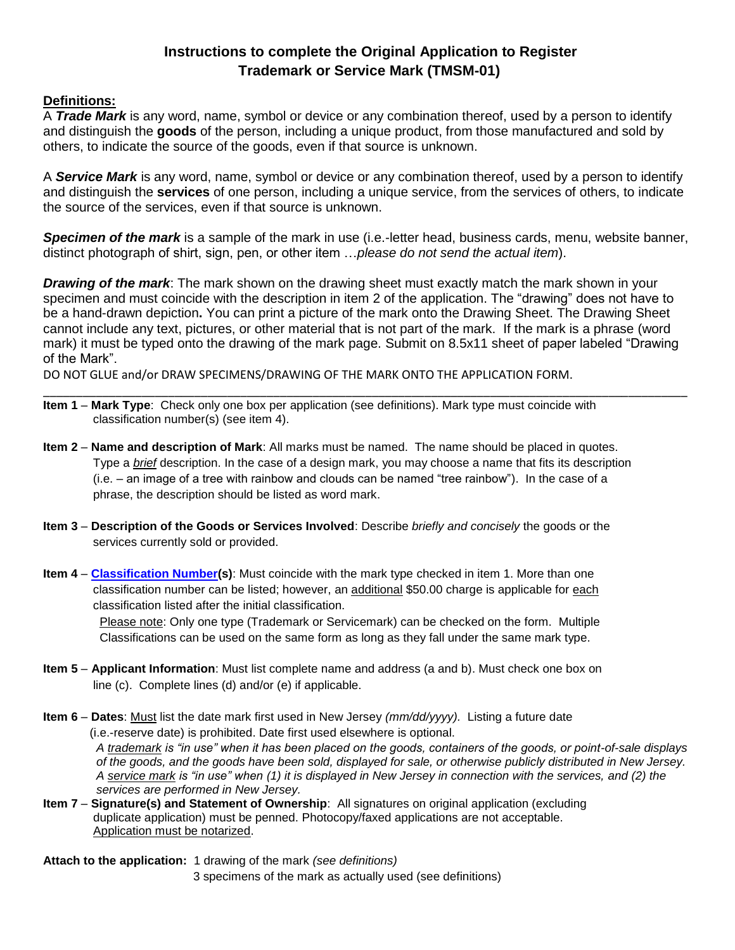## **Instructions to complete the Original Application to Register Trademark or Service Mark (TMSM-01)**

## **Definitions:**

A *Trade Mark* is any word, name, symbol or device or any combination thereof, used by a person to identify and distinguish the **goods** of the person, including a unique product, from those manufactured and sold by others, to indicate the source of the goods, even if that source is unknown.

A *Service Mark* is any word, name, symbol or device or any combination thereof, used by a person to identify and distinguish the **services** of one person, including a unique service, from the services of others, to indicate the source of the services, even if that source is unknown.

*Specimen of the mark* is a sample of the mark in use (i.e.-letter head, business cards, menu, website banner, distinct photograph of shirt, sign, pen, or other item …*please do not send the actual item*).

*Drawing of the mark*: The mark shown on the drawing sheet must exactly match the mark shown in your specimen and must coincide with the description in item 2 of the application. The "drawing" does not have to be a hand-drawn depiction**.** You can print a picture of the mark onto the Drawing Sheet. The Drawing Sheet cannot include any text, pictures, or other material that is not part of the mark. If the mark is a phrase (word mark) it must be typed onto the drawing of the mark page. Submit on 8.5x11 sheet of paper labeled "Drawing of the Mark".

\_\_\_\_\_\_\_\_\_\_\_\_\_\_\_\_\_\_\_\_\_\_\_\_\_\_\_\_\_\_\_\_\_\_\_\_\_\_\_\_\_\_\_\_\_\_\_\_\_\_\_\_\_\_\_\_\_\_\_\_\_\_\_\_\_\_\_\_\_\_\_\_\_\_\_\_\_\_\_\_\_\_\_\_\_\_\_\_\_\_\_\_\_\_\_\_\_\_

DO NOT GLUE and/or DRAW SPECIMENS/DRAWING OF THE MARK ONTO THE APPLICATION FORM.

- **Item 1 Mark Type**: Check only one box per application (see definitions). Mark type must coincide with classification number(s) (see item 4).
- **Item 2** – **Name and description of Mark**: All marks must be named. The name should be placed in quotes. Type a *brief* description. In the case of a design mark, you may choose a name that fits its description (i.e. – an image of a tree with rainbow and clouds can be named "tree rainbow"). In the case of a phrase, the description should be listed as word mark.
- **Item 3 Description of the Goods or Services Involved**: Describe *briefly and concisely* the goods or the services currently sold or provided.
- **Item 4 [Classification Number\(](http://www.nj.gov/treasury/revenue/dcr/pdforms/classcat.pdf)s)**: Must coincide with the mark type checked in item 1. More than one classification number can be listed; however, an additional \$50.00 charge is applicable for each classification listed after the initial classification.

 Please note: Only one type (Trademark or Servicemark) can be checked on the form. Multiple Classifications can be used on the same form as long as they fall under the same mark type.

- **Item 5** – **Applicant Information**: Must list complete name and address (a and b). Must check one box on line (c). Complete lines (d) and/or (e) if applicable.
- **Item 6** – **Dates**: Must list the date mark first used in New Jersey *(mm/dd/yyyy).* Listing a future date (i.e.-reserve date) is prohibited. Date first used elsewhere is optional.

 *A trademark is "in use" when it has been placed on the goods, containers of the goods, or point-of-sale displays of the goods, and the goods have been sold, displayed for sale, or otherwise publicly distributed in New Jersey. A service mark is "in use" when (1) it is displayed in New Jersey in connection with the services, and (2) the services are performed in New Jersey.* 

**Item 7** – **Signature(s) and Statement of Ownership**: All signatures on original application (excluding duplicate application) must be penned. Photocopy/faxed applications are not acceptable. Application must be notarized.

**Attach to the application:** 1 drawing of the mark *(see definitions)* 

3 specimens of the mark as actually used (see definitions)